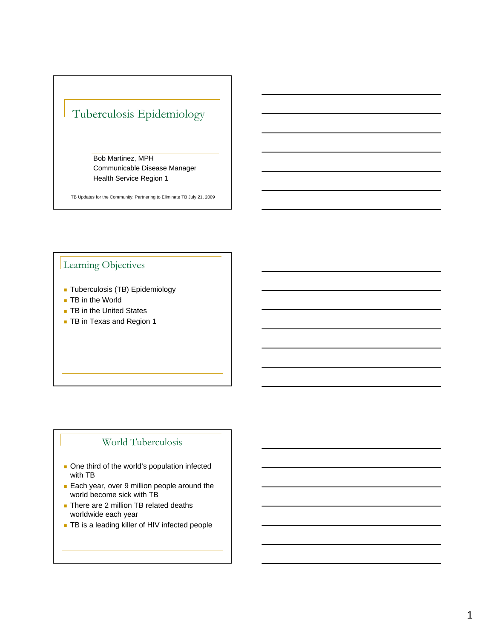# Tuberculosis Epidemiology

Bob Martinez, MPH Communicable Disease Manager Health Service Region 1

TB Updates for the Community: Partnering to Eliminate TB July 21, 2009

### Learning Objectives

- **Tuberculosis (TB) Epidemiology**
- TB in the World
- **TB** in the United States
- **TB** in Texas and Region 1

### World Tuberculosis

- One third of the world's population infected with TB
- Each year, over 9 million people around the world become sick with TB
- There are 2 million TB related deaths worldwide each year
- TB is a leading killer of HIV infected people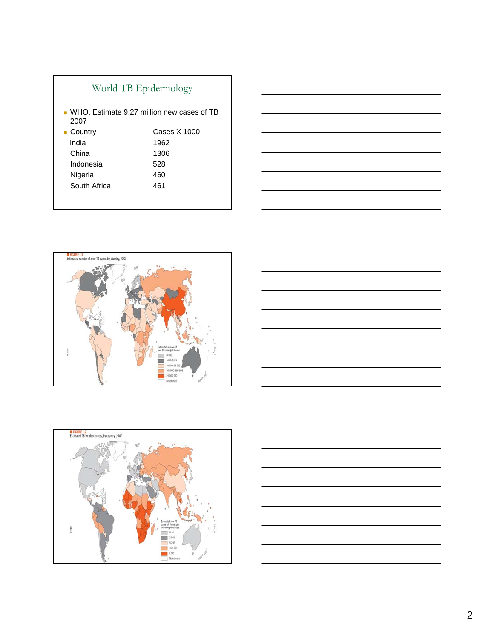| 2007         | • WHO, Estimate 9.27 million new cases of TB |
|--------------|----------------------------------------------|
| ■ Country    | Cases X 1000                                 |
| India        | 1962                                         |
| China        | 1306                                         |
| Indonesia    | 528                                          |
| Nigeria      | 460                                          |
| South Africa | 461                                          |









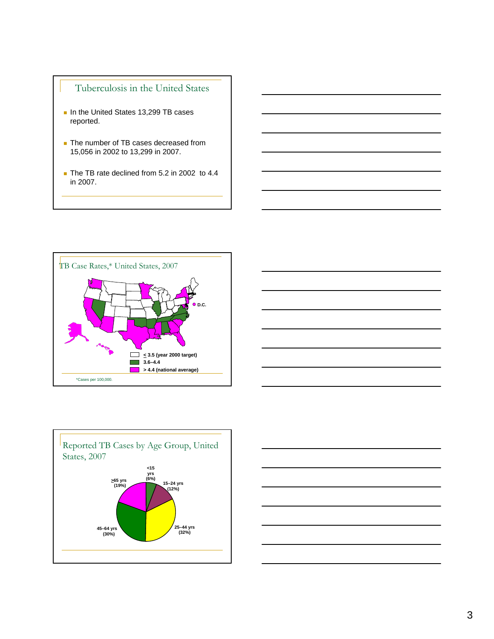

The TB rate declined from 5.2 in 2002 to 4.4 in 2007.







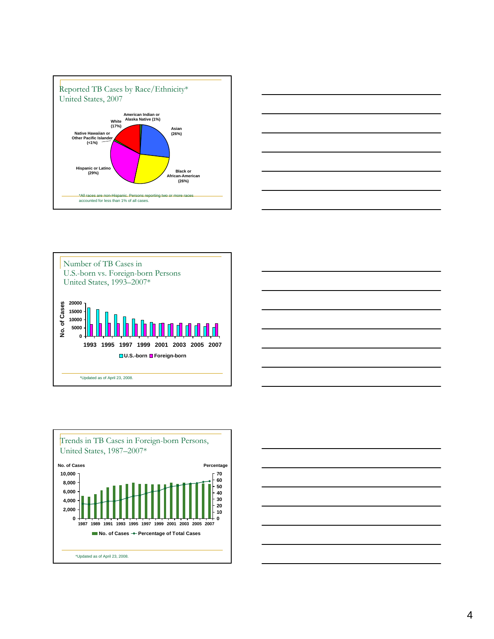









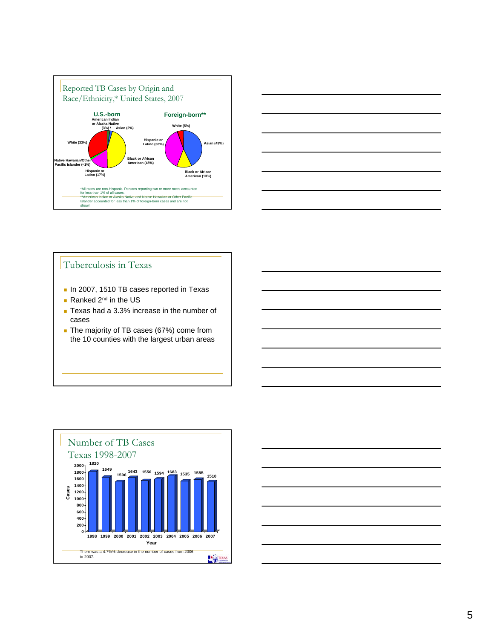



#### Tuberculosis in Texas

- In 2007, 1510 TB cases reported in Texas
- Ranked  $2^{nd}$  in the US
- Texas had a 3.3% increase in the number of cases
- The majority of TB cases (67%) come from the 10 counties with the largest urban areas



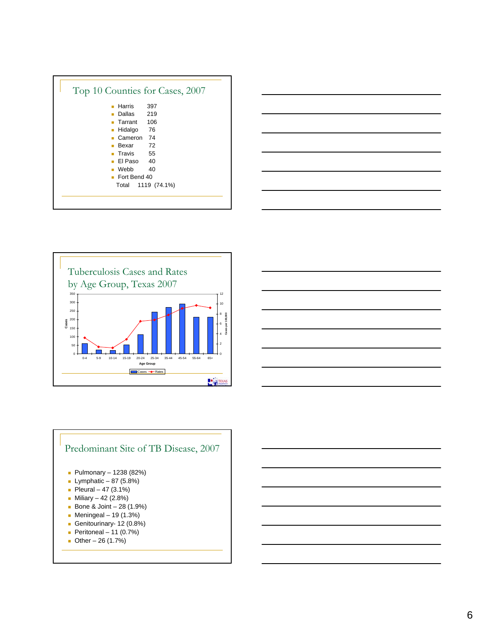| Harris<br>٠         | 397                      |
|---------------------|--------------------------|
| ٠                   | Dallas 219               |
|                     | ■ Tarrant 106            |
| ٠                   | Hidalgo 76               |
|                     | Cameron 74               |
| Bexar<br>٠          | 72                       |
|                     | $\blacksquare$ Travis 55 |
|                     | El Paso 40               |
| $\blacksquare$ Webb | 40                       |
|                     | ■ Fort Bend 40           |
|                     | Total 1119 (74.1%)       |





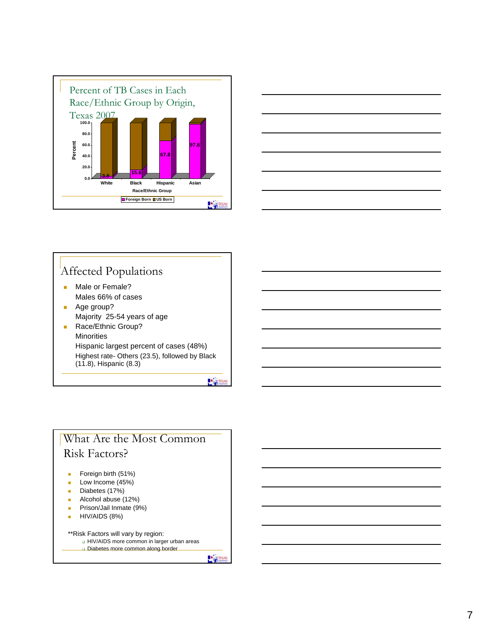



## Affected Populations

- **Male or Female?** Males 66% of cases
- Age group? Majority 25-54 years of age
- Race/Ethnic Group? **Minorities** Hispanic largest percent of cases (48%) Highest rate- Others (23.5), followed by Black (11.8), Hispanic (8.3)

**IN TEXAS** 

# What Are the Most Common Risk Factors?

- Foreign birth (51%)
- **Low Income (45%)**
- Diabetes (17%)
- **Alcohol abuse (12%)**
- **Prison/Jail Inmate (9%)**
- $HIV/AIDS (8%)$

\*\*Risk Factors will vary by region: HIV/AIDS more common in larger urban areas **Diabetes more common along border** 

TEXAS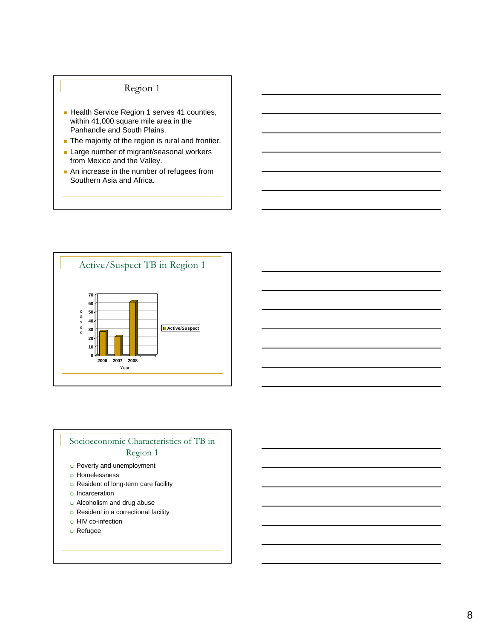#### Region 1

- Health Service Region 1 serves 41 counties, within 41,000 square mile area in the Panhandle and South Plains.
- **The majority of the region is rural and frontier.**
- **Large number of migrant/seasonal workers** from Mexico and the Valley.
- An increase in the number of refugees from Southern Asia and Africa.



### Socioeconomic Characteristics of TB in Region 1

- Poverty and unemployment
- Homelessness
- □ Resident of long-term care facility
- ncarceration
- Alcoholism and drug abuse
- Resident in a correctional facility
- □ HIV co-infection
- Refugee